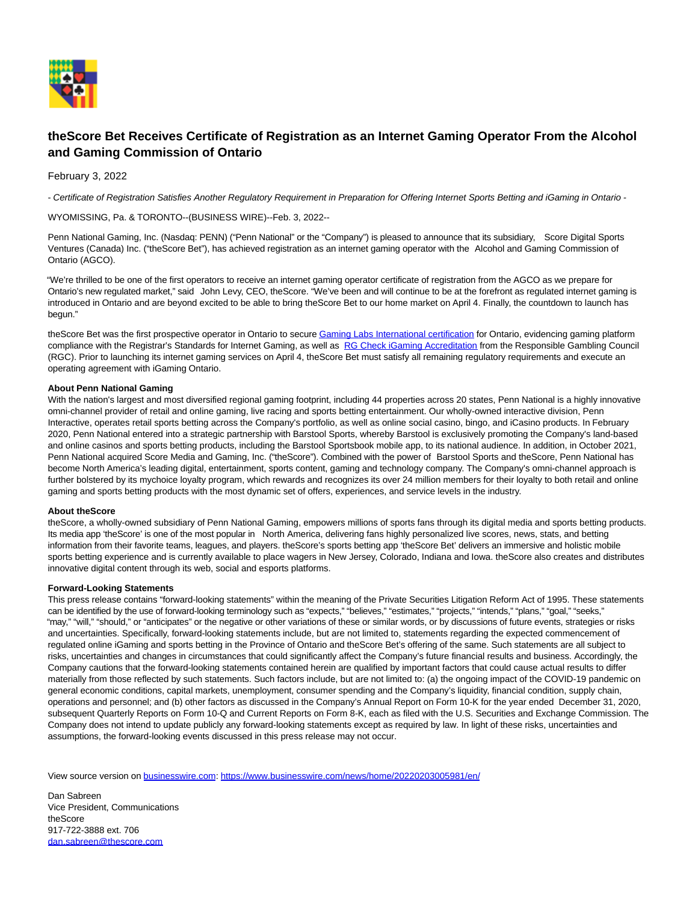

## **theScore Bet Receives Certificate of Registration as an Internet Gaming Operator From the Alcohol and Gaming Commission of Ontario**

February 3, 2022

- Certificate of Registration Satisfies Another Regulatory Requirement in Preparation for Offering Internet Sports Betting and iGaming in Ontario -

WYOMISSING, Pa. & TORONTO--(BUSINESS WIRE)--Feb. 3, 2022--

Penn National Gaming, Inc. (Nasdaq: PENN) ("Penn National" or the "Company") is pleased to announce that its subsidiary, Score Digital Sports Ventures (Canada) Inc. ("theScore Bet"), has achieved registration as an internet gaming operator with the Alcohol and Gaming Commission of Ontario (AGCO).

"We're thrilled to be one of the first operators to receive an internet gaming operator certificate of registration from the AGCO as we prepare for Ontario's new regulated market," said John Levy, CEO, theScore. "We've been and will continue to be at the forefront as regulated internet gaming is introduced in Ontario and are beyond excited to be able to bring theScore Bet to our home market on April 4. Finally, the countdown to launch has begun."

theScore Bet was the first prospective operator in Ontario to secur[e Gaming Labs International certification f](https://cts.businesswire.com/ct/CT?id=smartlink&url=https%3A%2F%2Fpennnationalgaming.gcs-web.com%2Fnews-releases%2Fnews-release-details%2Fthescore-bet-obtains-gli-33-certification-ontario&esheet=52573928&newsitemid=20220203005981&lan=en-US&anchor=Gaming+Labs+International+certification&index=1&md5=ba8113379999fb720da545f776328441)or Ontario, evidencing gaming platform compliance with the Registrar's Standards for Internet Gaming, as well as [RG Check iGaming Accreditation f](https://cts.businesswire.com/ct/CT?id=smartlink&url=https%3A%2F%2Fpennnationalgaming.gcs-web.com%2Fnews-releases%2Fnews-release-details%2Fthescore-bet-becomes-first-prospective-private-market-operator&esheet=52573928&newsitemid=20220203005981&lan=en-US&anchor=RG+Check+iGaming+Accreditation&index=2&md5=982c2a03ca8143e45601f3c41194f01d)rom the Responsible Gambling Council (RGC). Prior to launching its internet gaming services on April 4, theScore Bet must satisfy all remaining regulatory requirements and execute an operating agreement with iGaming Ontario.

## **About Penn National Gaming**

With the nation's largest and most diversified regional gaming footprint, including 44 properties across 20 states, Penn National is a highly innovative omni-channel provider of retail and online gaming, live racing and sports betting entertainment. Our wholly-owned interactive division, Penn Interactive, operates retail sports betting across the Company's portfolio, as well as online social casino, bingo, and iCasino products. In February 2020, Penn National entered into a strategic partnership with Barstool Sports, whereby Barstool is exclusively promoting the Company's land-based and online casinos and sports betting products, including the Barstool Sportsbook mobile app, to its national audience. In addition, in October 2021, Penn National acquired Score Media and Gaming, Inc. ("theScore"). Combined with the power of Barstool Sports and theScore, Penn National has become North America's leading digital, entertainment, sports content, gaming and technology company. The Company's omni-channel approach is further bolstered by its mychoice loyalty program, which rewards and recognizes its over 24 million members for their loyalty to both retail and online gaming and sports betting products with the most dynamic set of offers, experiences, and service levels in the industry.

## **About theScore**

theScore, a wholly-owned subsidiary of Penn National Gaming, empowers millions of sports fans through its digital media and sports betting products. Its media app 'theScore' is one of the most popular in North America, delivering fans highly personalized live scores, news, stats, and betting information from their favorite teams, leagues, and players, theScore's sports betting app 'theScore Bet' delivers an immersive and holistic mobile sports betting experience and is currently available to place wagers in New Jersey, Colorado, Indiana and Iowa. theScore also creates and distributes innovative digital content through its web, social and esports platforms.

## **Forward-Looking Statements**

This press release contains "forward-looking statements" within the meaning of the Private Securities Litigation Reform Act of 1995. These statements can be identified by the use of forward-looking terminology such as "expects," "believes," "estimates," "projects," "intends," "plans," "goal," "seeks," "may," "will," "should," or "anticipates" or the negative or other variations of these or similar words, or by discussions of future events, strategies or risks and uncertainties. Specifically, forward-looking statements include, but are not limited to, statements regarding the expected commencement of regulated online iGaming and sports betting in the Province of Ontario and theScore Bet's offering of the same. Such statements are all subject to risks, uncertainties and changes in circumstances that could significantly affect the Company's future financial results and business. Accordingly, the Company cautions that the forward-looking statements contained herein are qualified by important factors that could cause actual results to differ materially from those reflected by such statements. Such factors include, but are not limited to: (a) the ongoing impact of the COVID-19 pandemic on general economic conditions, capital markets, unemployment, consumer spending and the Company's liquidity, financial condition, supply chain, operations and personnel; and (b) other factors as discussed in the Company's Annual Report on Form 10-K for the year ended December 31, 2020, subsequent Quarterly Reports on Form 10-Q and Current Reports on Form 8-K, each as filed with the U.S. Securities and Exchange Commission. The Company does not intend to update publicly any forward-looking statements except as required by law. In light of these risks, uncertainties and assumptions, the forward-looking events discussed in this press release may not occur.

View source version on [businesswire.com:](http://businesswire.com/)<https://www.businesswire.com/news/home/20220203005981/en/>

Dan Sabreen Vice President, Communications theScore 917-722-3888 ext. 706 [dan.sabreen@thescore.com](mailto:dan.sabreen@thescore.com)